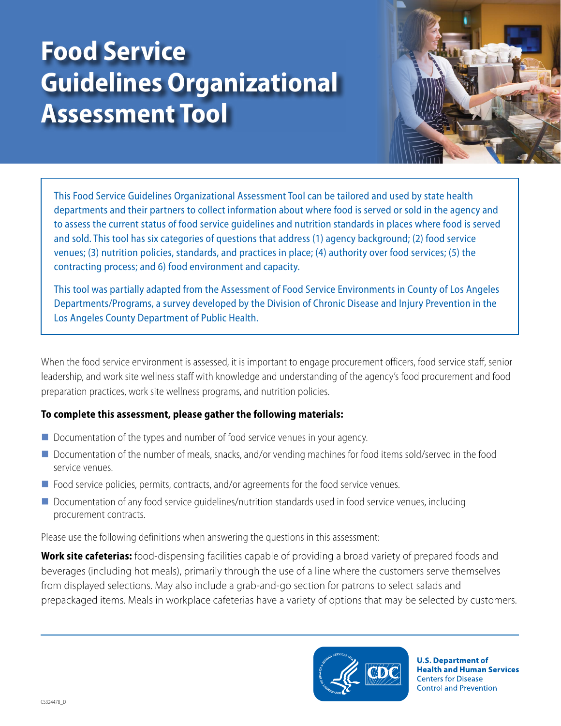# **Food Service Guidelines Organizational Assessment Tool**



This Food Service Guidelines Organizational Assessment Tool can be tailored and used by state health departments and their partners to collect information about where food is served or sold in the agency and to assess the current status of food service guidelines and nutrition standards in places where food is served and sold. This tool has six categories of questions that address (1) agency background; (2) food service venues; (3) nutrition policies, standards, and practices in place; (4) authority over food services; (5) the contracting process; and 6) food environment and capacity.

This tool was partially adapted from the Assessment of Food Service Environments in County of Los Angeles Departments/Programs, a survey developed by the Division of Chronic Disease and Injury Prevention in the Los Angeles County Department of Public Health.

When the food service environment is assessed, it is important to engage procurement officers, food service staff, senior leadership, and work site wellness staff with knowledge and understanding of the agency's food procurement and food preparation practices, work site wellness programs, and nutrition policies.

#### **To complete this assessment, please gather the following materials:**

- Documentation of the types and number of food service venues in your agency.
- Documentation of the number of meals, snacks, and/or vending machines for food items sold/served in the food service venues.
- **Food service policies, permits, contracts, and/or agreements for the food service venues.**
- **D** Documentation of any food service quidelines/nutrition standards used in food service venues, including procurement contracts.

Please use the following definitions when answering the questions in this assessment:

**Work site cafeterias:** food-dispensing facilities capable of providing a broad variety of prepared foods and beverages (including hot meals), primarily through the use of a line where the customers serve themselves from displayed selections. May also include a grab-and-go section for patrons to select salads and prepackaged items. Meals in workplace cafeterias have a variety of options that may be selected by customers.



**U.S. Department of Health and Human Services Centers for Disease Control and Prevention**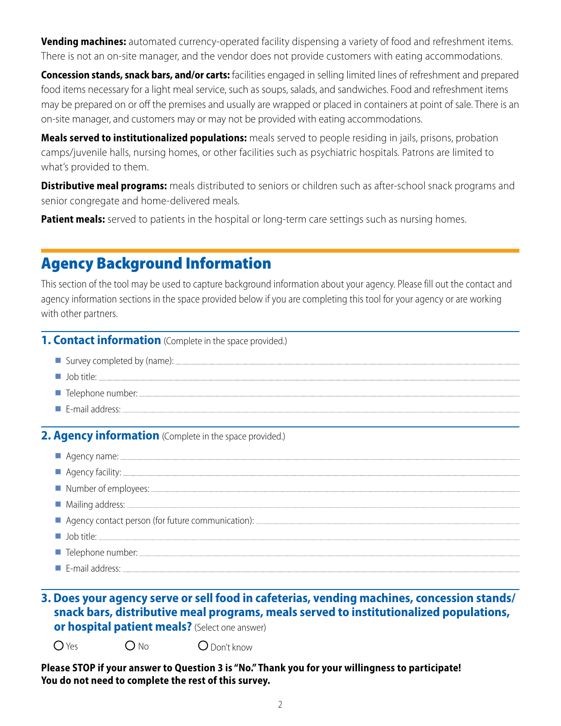**Vending machines:** automated currency-operated facility dispensing a variety of food and refreshment items. There is not an on-site manager, and the vendor does not provide customers with eating accommodations.

**Concession stands, snack bars, and/or carts:** facilities engaged in selling limited lines of refreshment and prepared food items necessary for a light meal service, such as soups, salads, and sandwiches. Food and refreshment items may be prepared on or off the premises and usually are wrapped or placed in containers at point of sale. There is an on-site manager, and customers may or may not be provided with eating accommodations.

**Meals served to institutionalized populations:** meals served to people residing in jails, prisons, probation camps/juvenile halls, nursing homes, or other facilities such as psychiatric hospitals. Patrons are limited to what's provided to them.

**Distributive meal programs:** meals distributed to seniors or children such as after-school snack programs and senior congregate and home-delivered meals.

**Patient meals:** served to patients in the hospital or long-term care settings such as nursing homes.

# Agency Background Information

This section of the tool may be used to capture background information about your agency. Please fill out the contact and agency information sections in the space provided below if you are completing this tool for your agency or are working with other partners.

#### **1. Contact information** (Complete in the space provided.)

- Survey completed by (name):
- **Job title:** Job title: **Job title:** Job title: **Job title:** *Job* **title:** *Job* **title:** *Job* **title:** *Job* **title:** *Job* **title:** *Job* **title:** *Job* **title:** *Job title***:** *Job title***:** *Job title***:** *Job title***:** *Job title***:** *Job t*
- Telephone number:
- E-mail address:

**2. Agency information** (Complete in the space provided.)

| Agency name: <u>Commission and Commission and Commission and Commission and Commission and Commission and Commission</u>                                                                                                            |
|-------------------------------------------------------------------------------------------------------------------------------------------------------------------------------------------------------------------------------------|
| Agency facility:                                                                                                                                                                                                                    |
|                                                                                                                                                                                                                                     |
| Mailing address: <u>Alliance and Santa Communications</u> and Mailing and Mailing address: Alliance and Mailing address:                                                                                                            |
|                                                                                                                                                                                                                                     |
| $\blacksquare$ Job title:                                                                                                                                                                                                           |
| The Telephone number: <u>The Telephone number:</u> The Telephone number: The Telephone number: The Telephone number: The Telephone number: The Telephone number: The Telephone number: The Telephone number of the Telephone number |
|                                                                                                                                                                                                                                     |

# **3. Does your agency serve or sell food in cafeterias, vending machines, concession stands/ snack bars, distributive meal programs, meals served to institutionalized populations,**

**or hospital patient meals?** (Select one answer)

 $O$  Yes  $O$  No  $O$  Don't know

**Please STOP if your answer to Question 3 is "No." Thank you for your willingness to participate! You do not need to complete the rest of this survey.**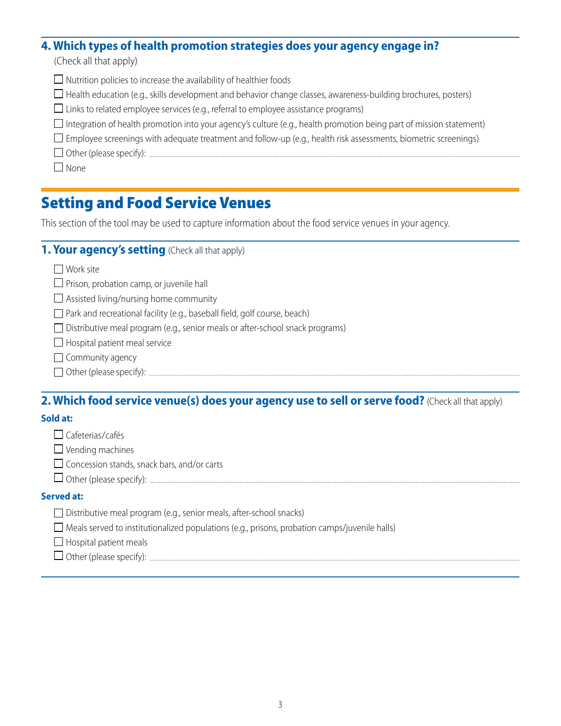## **4. Which types of health promotion strategies does your agency engage in?**

(Check all that apply)

- $\Box$  Nutrition policies to increase the availability of healthier foods
- $\Box$  Health education (e.g., skills development and behavior change classes, awareness-building brochures, posters)
- $\square$  Links to related employee services (e.g., referral to employee assistance programs)
- $\Box$  Integration of health promotion into your agency's culture (e.g., health promotion being part of mission statement)
- $\square$  Employee screenings with adequate treatment and follow-up (e.g., health risk assessments, biometric screenings)
- $\Box$  Other (please specify):  $\Box$

 $\Box$  None

# Setting and Food Service Venues

This section of the tool may be used to capture information about the food service venues in your agency.

## **1. Your agency's setting** (Check all that apply)

 $\Box$  Work site

- $\Box$  Prison, probation camp, or juvenile hall
- $\Box$  Assisted living/nursing home community
- □ Park and recreational facility (e.g., baseball field, golf course, beach)
- Distributive meal program (e.g., senior meals or after-school snack programs)
- $\Box$  Hospital patient meal service
- $\Box$  Community agency
- Other (please specify):

### **2. Which food service venue(s) does your agency use to sell or serve food?** (Check all that apply)

#### **Sold at:**

□ Cafeterias/cafés

 $\Box$  Vending machines

 $\Box$  Concession stands, snack bars, and/or carts

 $\Box$  Other (please specify):  $\Box$ 

#### **Served at:**

 $\Box$  Meals served to institutionalized populations (e.g., prisons, probation camps/juvenile halls)

 $\Box$  Hospital patient meals

Other (please specify):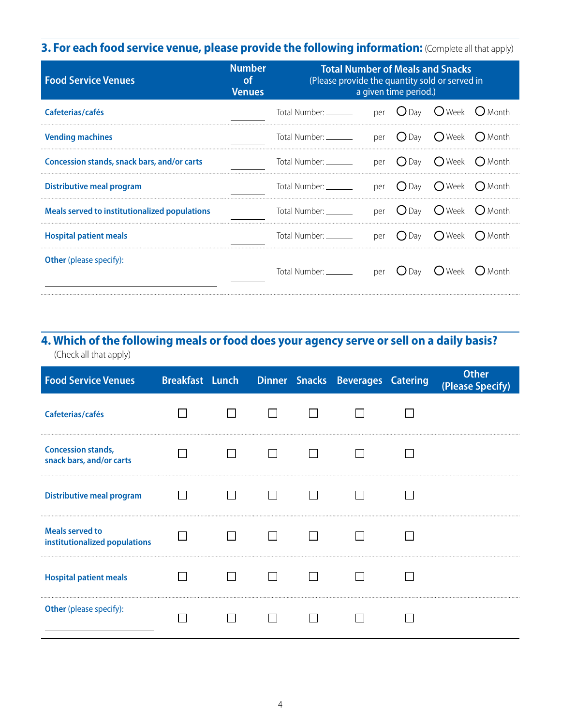# **3. For each food service venue, please provide the following information:** (Complete all that apply)

| <b>Food Service Venues</b>                    | <b>Number</b><br><b>of</b><br><b>Venues</b> | <b>Total Number of Meals and Snacks</b><br>(Please provide the quantity sold or served in<br>a given time period.) |     |                    |                       |                 |
|-----------------------------------------------|---------------------------------------------|--------------------------------------------------------------------------------------------------------------------|-----|--------------------|-----------------------|-----------------|
| Cafeterias/cafés                              |                                             | Total Number: __________ per O Day O Week O Month                                                                  |     |                    |                       |                 |
| <b>Vending machines</b>                       |                                             | Total Number: _______                                                                                              |     | per $O$ Day        | ( ) Week              | ( ) Month       |
| Concession stands, snack bars, and/or carts   |                                             | Total Number: Total Number                                                                                         |     | per $\bigcirc$ Day | ( ) Week              | $\bigcap$ Month |
| Distributive meal program                     |                                             | Total Number: _______                                                                                              |     | per $\bigcirc$ Day | $\bigcap$ Week        | $\bigcap$ Month |
| Meals served to institutionalized populations |                                             | Total Number: _______                                                                                              |     |                    | per ODay OWeek OMonth |                 |
| <b>Hospital patient meals</b>                 |                                             | Total Number: _______                                                                                              | per | $\bigcap$ Day      | $\bigcap$ Week        | $\bigcap$ Month |
| <b>Other</b> (please specify):                |                                             | Total Number: _______                                                                                              | per | (JDav              | $\bigcup$ Week        | Month           |

## **4. Which of the following meals or food does your agency serve or sell on a daily basis?** (Check all that apply)

| <b>Food Service Venues</b>                              |  |  | Breakfast Lunch Dinner Snacks Beverages Catering | <b>Other</b><br>(Please Specify) |
|---------------------------------------------------------|--|--|--------------------------------------------------|----------------------------------|
| Cafeterias/cafés                                        |  |  |                                                  |                                  |
| <b>Concession stands,</b><br>snack bars, and/or carts   |  |  |                                                  |                                  |
| <b>Distributive meal program</b>                        |  |  |                                                  |                                  |
| <b>Meals served to</b><br>institutionalized populations |  |  |                                                  |                                  |
| <b>Hospital patient meals</b>                           |  |  |                                                  |                                  |
| <b>Other</b> (please specify):                          |  |  |                                                  |                                  |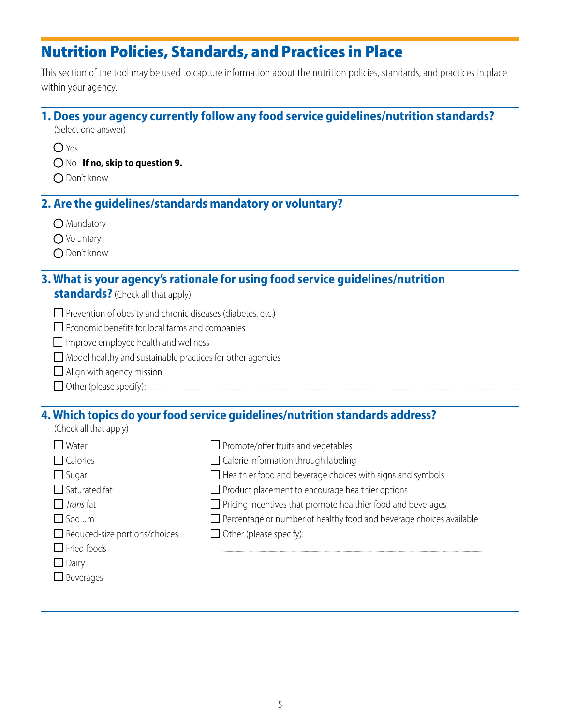# Nutrition Policies, Standards, and Practices in Place

This section of the tool may be used to capture information about the nutrition policies, standards, and practices in place within your agency.

# **1. Does your agency currently follow any food service guidelines/nutrition standards?**

(Select one answer)

- $O$  Yes
- No **If no, skip to question 9.**
- ◯ Don't know

## **2. Are the guidelines/standards mandatory or voluntary?**

- O Mandatory
- O Voluntary
- ◯ Don't know

# **3. What is your agency's rationale for using food service guidelines/nutrition**

- **standards?** (Check all that apply)
- $\Box$  Prevention of obesity and chronic diseases (diabetes, etc.)
- $\square$  Economic benefits for local farms and companies
- $\Box$  Improve employee health and wellness
- $\Box$  Model healthy and sustainable practices for other agencies
- $\Box$  Align with agency mission
- Other (please specify):

# **4. Which topics do your food service guidelines/nutrition standards address?**

| $\Box$ Promote/offer fruits and vegetables                                 |
|----------------------------------------------------------------------------|
| $\Box$ Calorie information through labeling                                |
| $\Box$ Healthier food and beverage choices with signs and symbols          |
| $\Box$ Product placement to encourage healthier options                    |
| $\Box$ Pricing incentives that promote healthier food and beverages        |
| $\Box$ Percentage or number of healthy food and beverage choices available |
| $\Box$ Other (please specify):                                             |
|                                                                            |
|                                                                            |
|                                                                            |
|                                                                            |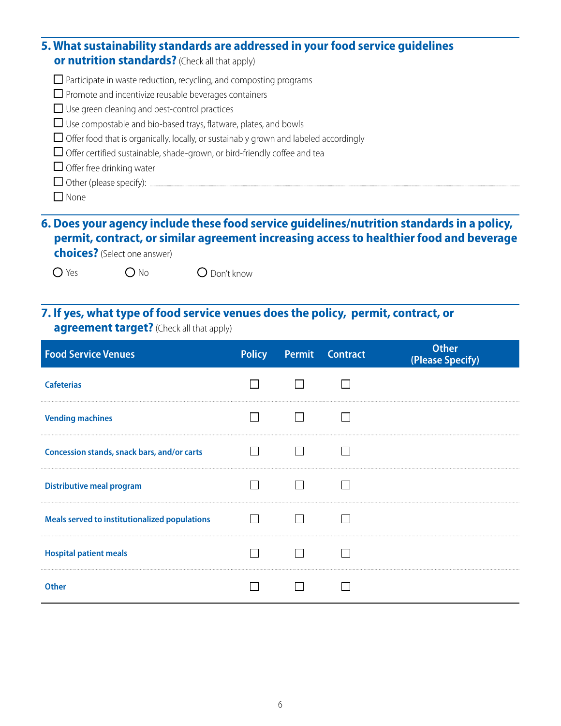| 5. What sustainability standards are addressed in your food service guidelines<br><b>or nutrition standards?</b> (Check all that apply) |
|-----------------------------------------------------------------------------------------------------------------------------------------|
| $\Box$ Participate in waste reduction, recycling, and composting programs                                                               |
| $\Box$ Promote and incentivize reusable beverages containers                                                                            |
| $\Box$ Use green cleaning and pest-control practices                                                                                    |
| $\Box$ Use compostable and bio-based trays, flatware, plates, and bowls                                                                 |
| $\Box$ Offer food that is organically, locally, or sustainably grown and labeled accordingly                                            |
| $\Box$ Offer certified sustainable, shade-grown, or bird-friendly coffee and tea                                                        |
| $\Box$ Offer free drinking water                                                                                                        |
|                                                                                                                                         |
| None                                                                                                                                    |

## **6. Does your agency include these food service guidelines/nutrition standards in a policy, permit, contract, or similar agreement increasing access to healthier food and beverage choices?** (Select one answer)

O Yes O No O Don't know

# **7. If yes, what type of food service venues does the policy, permit, contract, or**

**agreement target?** (Check all that apply)

| <b>Food Service Venues</b>                    |  | <b>Policy</b> Permit Contract | <b>Other</b><br>(Please Specify) |
|-----------------------------------------------|--|-------------------------------|----------------------------------|
| <b>Cafeterias</b>                             |  |                               |                                  |
| <b>Vending machines</b>                       |  |                               |                                  |
| Concession stands, snack bars, and/or carts   |  |                               |                                  |
| <b>Distributive meal program</b>              |  |                               |                                  |
| Meals served to institutionalized populations |  |                               |                                  |
| <b>Hospital patient meals</b>                 |  |                               |                                  |
| <b>Other</b>                                  |  |                               |                                  |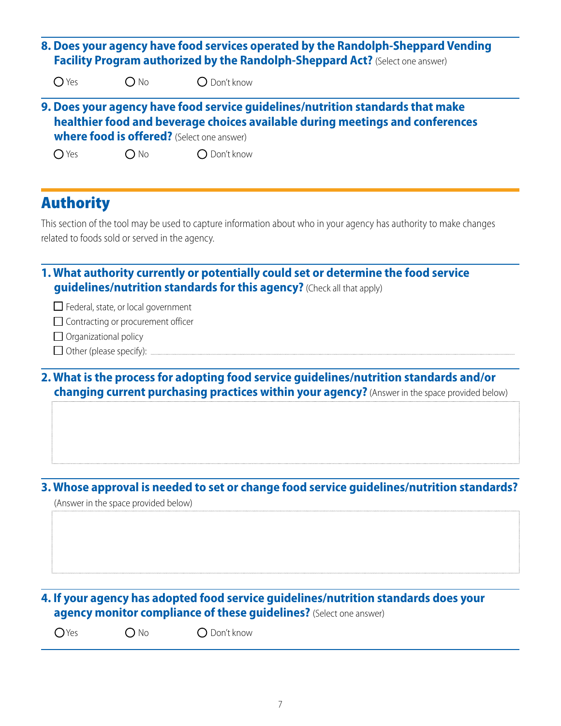| $O$ Yes<br>$O$ Don't know<br>$O$ No<br>9. Does your agency have food service guidelines/nutrition standards that make<br>healthier food and beverage choices available during meetings and conferences<br><b>where food is offered?</b> (Select one answer)<br>$\bigcirc$ Yes<br>$\bigcirc$ No<br>$\bigcirc$ Don't know<br><b>Authority</b><br>This section of the tool may be used to capture information about who in your agency has authority to make changes<br>related to foods sold or served in the agency.<br>1. What authority currently or potentially could set or determine the food service<br>guidelines/nutrition standards for this agency? (Check all that apply)<br>$\Box$ Federal, state, or local government<br>$\Box$ Contracting or procurement officer<br>$\Box$ Organizational policy<br>2. What is the process for adopting food service guidelines/nutrition standards and/or<br>changing current purchasing practices within your agency? (Answer in the space provided below)<br>3. Whose approval is needed to set or change food service guidelines/nutrition standards?<br>(Answer in the space provided below)<br>4. If your agency has adopted food service guidelines/nutrition standards does your<br>agency monitor compliance of these guidelines? (Select one answer)<br>$\bigcirc$ Yes<br>$\bigcap$ Don't know<br>$\bigcirc$ No |  | 8. Does your agency have food services operated by the Randolph-Sheppard Vending<br>Facility Program authorized by the Randolph-Sheppard Act? (Select one answer) |  |
|-------------------------------------------------------------------------------------------------------------------------------------------------------------------------------------------------------------------------------------------------------------------------------------------------------------------------------------------------------------------------------------------------------------------------------------------------------------------------------------------------------------------------------------------------------------------------------------------------------------------------------------------------------------------------------------------------------------------------------------------------------------------------------------------------------------------------------------------------------------------------------------------------------------------------------------------------------------------------------------------------------------------------------------------------------------------------------------------------------------------------------------------------------------------------------------------------------------------------------------------------------------------------------------------------------------------------------------------------------------------------|--|-------------------------------------------------------------------------------------------------------------------------------------------------------------------|--|
|                                                                                                                                                                                                                                                                                                                                                                                                                                                                                                                                                                                                                                                                                                                                                                                                                                                                                                                                                                                                                                                                                                                                                                                                                                                                                                                                                                         |  |                                                                                                                                                                   |  |
|                                                                                                                                                                                                                                                                                                                                                                                                                                                                                                                                                                                                                                                                                                                                                                                                                                                                                                                                                                                                                                                                                                                                                                                                                                                                                                                                                                         |  |                                                                                                                                                                   |  |
|                                                                                                                                                                                                                                                                                                                                                                                                                                                                                                                                                                                                                                                                                                                                                                                                                                                                                                                                                                                                                                                                                                                                                                                                                                                                                                                                                                         |  |                                                                                                                                                                   |  |
|                                                                                                                                                                                                                                                                                                                                                                                                                                                                                                                                                                                                                                                                                                                                                                                                                                                                                                                                                                                                                                                                                                                                                                                                                                                                                                                                                                         |  |                                                                                                                                                                   |  |
|                                                                                                                                                                                                                                                                                                                                                                                                                                                                                                                                                                                                                                                                                                                                                                                                                                                                                                                                                                                                                                                                                                                                                                                                                                                                                                                                                                         |  |                                                                                                                                                                   |  |
|                                                                                                                                                                                                                                                                                                                                                                                                                                                                                                                                                                                                                                                                                                                                                                                                                                                                                                                                                                                                                                                                                                                                                                                                                                                                                                                                                                         |  |                                                                                                                                                                   |  |
|                                                                                                                                                                                                                                                                                                                                                                                                                                                                                                                                                                                                                                                                                                                                                                                                                                                                                                                                                                                                                                                                                                                                                                                                                                                                                                                                                                         |  |                                                                                                                                                                   |  |
|                                                                                                                                                                                                                                                                                                                                                                                                                                                                                                                                                                                                                                                                                                                                                                                                                                                                                                                                                                                                                                                                                                                                                                                                                                                                                                                                                                         |  |                                                                                                                                                                   |  |
|                                                                                                                                                                                                                                                                                                                                                                                                                                                                                                                                                                                                                                                                                                                                                                                                                                                                                                                                                                                                                                                                                                                                                                                                                                                                                                                                                                         |  |                                                                                                                                                                   |  |
|                                                                                                                                                                                                                                                                                                                                                                                                                                                                                                                                                                                                                                                                                                                                                                                                                                                                                                                                                                                                                                                                                                                                                                                                                                                                                                                                                                         |  |                                                                                                                                                                   |  |
|                                                                                                                                                                                                                                                                                                                                                                                                                                                                                                                                                                                                                                                                                                                                                                                                                                                                                                                                                                                                                                                                                                                                                                                                                                                                                                                                                                         |  |                                                                                                                                                                   |  |
|                                                                                                                                                                                                                                                                                                                                                                                                                                                                                                                                                                                                                                                                                                                                                                                                                                                                                                                                                                                                                                                                                                                                                                                                                                                                                                                                                                         |  |                                                                                                                                                                   |  |
|                                                                                                                                                                                                                                                                                                                                                                                                                                                                                                                                                                                                                                                                                                                                                                                                                                                                                                                                                                                                                                                                                                                                                                                                                                                                                                                                                                         |  |                                                                                                                                                                   |  |
|                                                                                                                                                                                                                                                                                                                                                                                                                                                                                                                                                                                                                                                                                                                                                                                                                                                                                                                                                                                                                                                                                                                                                                                                                                                                                                                                                                         |  |                                                                                                                                                                   |  |
|                                                                                                                                                                                                                                                                                                                                                                                                                                                                                                                                                                                                                                                                                                                                                                                                                                                                                                                                                                                                                                                                                                                                                                                                                                                                                                                                                                         |  |                                                                                                                                                                   |  |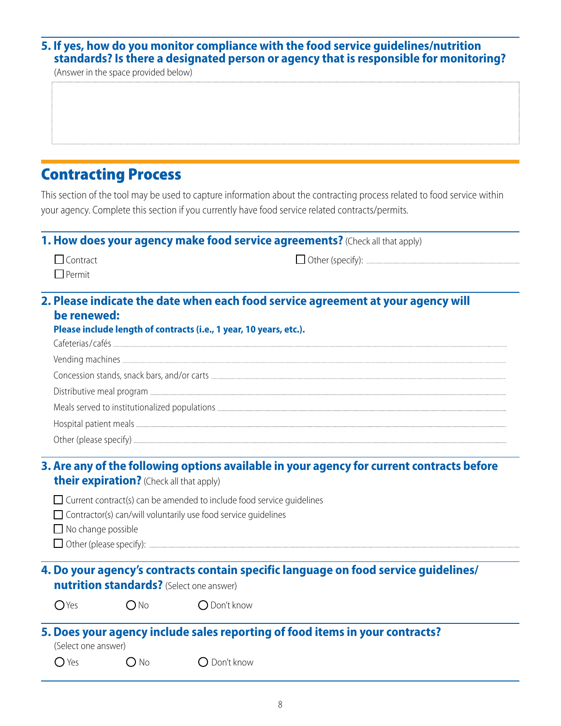#### **5. If yes, how do you monitor compliance with the food service guidelines/nutrition standards? Is there a designated person or agency that is responsible for monitoring?**

(Answer in the space provided below)

# Contracting Process

This section of the tool may be used to capture information about the contracting process related to food service within your agency. Complete this section if you currently have food service related contracts/permits.

#### **1. How does your agency make food service agreements?** (Check all that apply)

| □ Contract    |  |
|---------------|--|
| $\Box$ Permit |  |

Other (specify):

#### **2. Please indicate the date when each food service agreement at your agency will be renewed:**

| Please include length of contracts (i.e., 1 year, 10 years, etc.). |
|--------------------------------------------------------------------|
|                                                                    |
|                                                                    |
|                                                                    |
|                                                                    |
|                                                                    |
|                                                                    |
|                                                                    |

#### **3. Are any of the following options available in your agency for current contracts before their expiration?** (Check all that apply)

- $\Box$  Current contract(s) can be amended to include food service quidelines
- $\Box$  Contractor(s) can/will voluntarily use food service quidelines
- $\Box$  No change possible
- Other (please specify):

## **4. Do your agency's contracts contain specific language on food service guidelines/ nutrition standards?** (Select one answer)

 $O$  Yes  $O$  No  $O$  Don't know

# **5. Does your agency include sales reporting of food items in your contracts?**

(Select one answer)

 $\bigcap$  Yes  $\bigcap$  No  $\bigcap$  Don't know